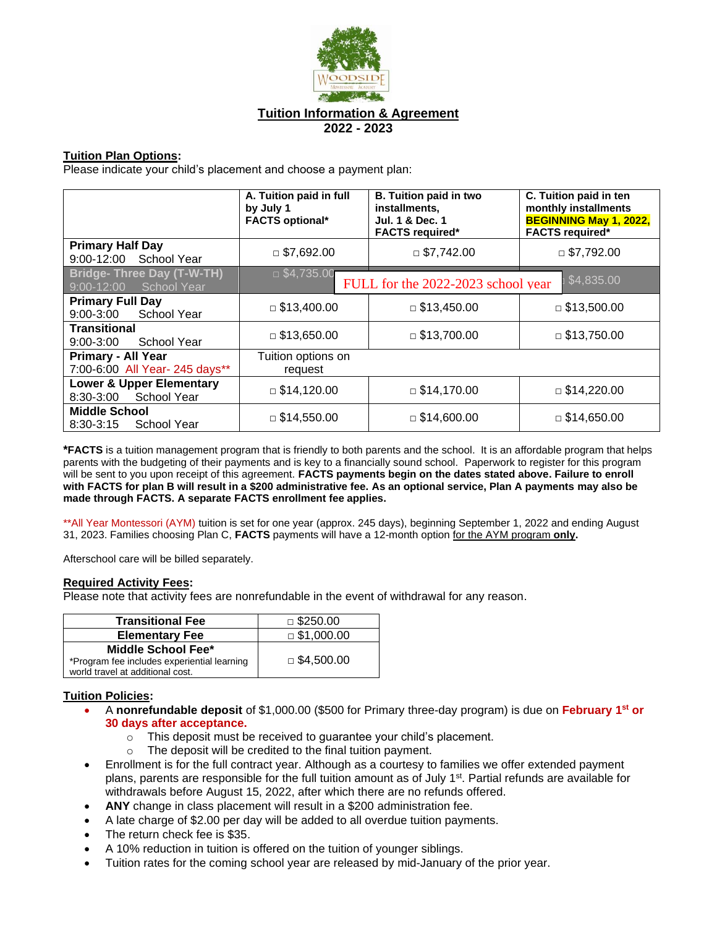

# **Tuition Information & Agreement 2022 - 2023**

## **Tuition Plan Options:**

Please indicate your child's placement and choose a payment plan:

|                                                              | A. Tuition paid in full<br>by July 1<br><b>FACTS optional*</b> | <b>B. Tuition paid in two</b><br>installments,<br><b>Jul. 1 &amp; Dec. 1</b><br><b>FACTS required*</b> | C. Tuition paid in ten<br>monthly installments<br><b>BEGINNING May 1, 2022,</b><br><b>FACTS required*</b> |
|--------------------------------------------------------------|----------------------------------------------------------------|--------------------------------------------------------------------------------------------------------|-----------------------------------------------------------------------------------------------------------|
| <b>Primary Half Day</b><br>9:00-12:00 School Year            | $\Box$ \$7,692.00                                              | $\Box$ \$7,742.00                                                                                      | $\Box$ \$7,792.00                                                                                         |
| Bridge- Three Day (T-W-TH)<br>9:00-12:00 School Year         | $\Box$ \$4,735.00                                              | FULL for the 2022-2023 school year                                                                     | \$4,835.00                                                                                                |
| <b>Primary Full Day</b><br>9:00-3:00 School Year             | $\Box$ \$13,400.00                                             | $\Box$ \$13,450.00                                                                                     | $\Box$ \$13,500.00                                                                                        |
| <b>Transitional</b><br>$9:00 - 3:00$<br>School Year          | $\Box$ \$13,650.00                                             | $\Box$ \$13,700.00                                                                                     | $\Box$ \$13,750.00                                                                                        |
| <b>Primary - All Year</b><br>7:00-6:00 All Year- 245 days**  | Tuition options on<br>request                                  |                                                                                                        |                                                                                                           |
| <b>Lower &amp; Upper Elementary</b><br>8:30-3:00 School Year | $\Box$ \$14,120.00                                             | $\Box$ \$14,170.00                                                                                     | $\Box$ \$14,220.00                                                                                        |
| <b>Middle School</b><br>$8:30-3:15$<br><b>School Year</b>    | $\Box$ \$14,550.00                                             | $\Box$ \$14,600.00                                                                                     | $\Box$ \$14,650.00                                                                                        |

**\*FACTS** is a tuition management program that is friendly to both parents and the school. It is an affordable program that helps parents with the budgeting of their payments and is key to a financially sound school. Paperwork to register for this program will be sent to you upon receipt of this agreement. **FACTS payments begin on the dates stated above. Failure to enroll with FACTS for plan B will result in a \$200 administrative fee. As an optional service, Plan A payments may also be made through FACTS. A separate FACTS enrollment fee applies.**

\*\*All Year Montessori (AYM) tuition is set for one year (approx. 245 days), beginning September 1, 2022 and ending August 31, 2023. Families choosing Plan C, **FACTS** payments will have a 12-month option for the AYM program **only.**

Afterschool care will be billed separately.

#### **Required Activity Fees:**

Please note that activity fees are nonrefundable in the event of withdrawal for any reason.

| <b>Transitional Fee</b>                     | $\Box$ \$250.00   |
|---------------------------------------------|-------------------|
| <b>Elementary Fee</b>                       | $\Box$ \$1,000.00 |
| Middle School Fee*                          | $\Box$ \$4,500.00 |
| *Program fee includes experiential learning |                   |
| world travel at additional cost.            |                   |

## **Tuition Policies:**

- A **nonrefundable deposit** of \$1,000.00 (\$500 for Primary three-day program) is due on **February 1st or 30 days after acceptance.** 
	- o This deposit must be received to guarantee your child's placement.
	- o The deposit will be credited to the final tuition payment.
- Enrollment is for the full contract year. Although as a courtesy to families we offer extended payment plans, parents are responsible for the full tuition amount as of July 1st. Partial refunds are available for withdrawals before August 15, 2022, after which there are no refunds offered.
- **ANY** change in class placement will result in a \$200 administration fee.
- A late charge of \$2.00 per day will be added to all overdue tuition payments.
- The return check fee is \$35.
- A 10% reduction in tuition is offered on the tuition of younger siblings.
- Tuition rates for the coming school year are released by mid-January of the prior year.